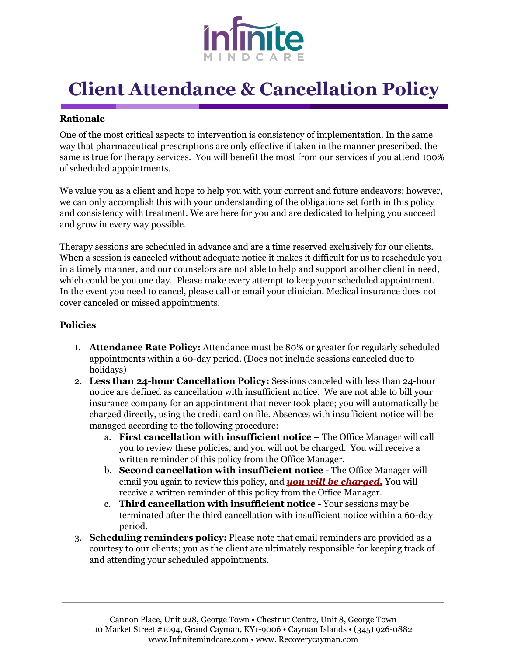

# **Client Attendance & Cancellation Policy**

#### **Rationale**

One of the most critical aspects to intervention is consistency of implementation. In the same way that pharmaceutical prescriptions are only effective if taken in the manner prescribed, the same is true for therapy services. You will benefit the most from our services if you attend 100% of scheduled appointments.

We value you as a client and hope to help you with your current and future endeavors; however, we can only accomplish this with your understanding of the obligations set forth in this policy and consistency with treatment. We are here for you and are dedicated to helping you succeed and grow in every way possible.

Therapy sessions are scheduled in advance and are a time reserved exclusively for our clients. When a session is canceled without adequate notice it makes it difficult for us to reschedule you in a timely manner, and our counselors are not able to help and support another client in need, which could be you one day. Please make every attempt to keep your scheduled appointment. In the event you need to cancel, please call or email your clinician. Medical insurance does not cover canceled or missed appointments.

#### **Policies**

- 1. **Attendance Rate Policy:** Attendance must be 80% or greater for regularly scheduled appointments within a 60-day period. (Does not include sessions canceled due to holidays)
- 2. **Less than 24-hour Cancellation Policy:** Sessions canceled with less than 24-hour notice are defined as cancellation with insufficient notice. We are not able to bill your insurance company for an appointment that never took place; you will automatically be charged directly, using the credit card on file. Absences with insufficient notice will be managed according to the following procedure:
	- a. **First cancellation with insufficient notice** The Office Manager will call you to review these policies, and you will not be charged. You will receive a written reminder of this policy from the Office Manager.
	- b. **Second cancellation with insufficient notice** The Office Manager will email you again to review this policy, and *you will be charged.* You will receive a written reminder of this policy from the Office Manager.
	- c. **Third cancellation with insufficient notice** Your sessions may be terminated after the third cancellation with insufficient notice within a 60-day period.
- 3. **Scheduling reminders policy:** Please note that email reminders are provided as a courtesy to our clients; you as the client are ultimately responsible for keeping track of and attending your scheduled appointments.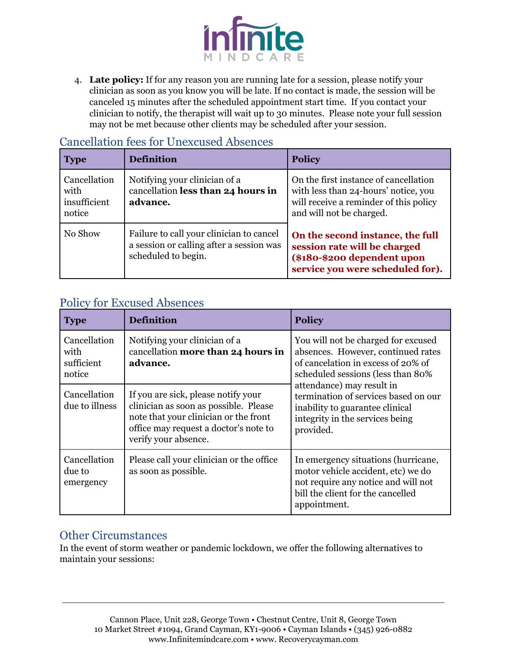

4. **Late policy:** If for any reason you are running late for a session, please notify your clinician as soon as you know you will be late. If no contact is made, the session will be canceled 15 minutes after the scheduled appointment start time. If you contact your clinician to notify, the therapist will wait up to 30 minutes. Please note your full session may not be met because other clients may be scheduled after your session.

| <b>Type</b>                                    | <b>Definition</b>                                                                                           | <b>Policy</b>                                                                                                                                       |
|------------------------------------------------|-------------------------------------------------------------------------------------------------------------|-----------------------------------------------------------------------------------------------------------------------------------------------------|
| Cancellation<br>with<br>insufficient<br>notice | Notifying your clinician of a<br>cancellation less than 24 hours in<br>advance.                             | On the first instance of cancellation<br>with less than 24-hours' notice, you<br>will receive a reminder of this policy<br>and will not be charged. |
| No Show                                        | Failure to call your clinician to cancel<br>a session or calling after a session was<br>scheduled to begin. | On the second instance, the full<br>session rate will be charged<br>(\$180-\$200 dependent upon<br>service you were scheduled for).                 |

# Cancellation fees for Unexcused Absences

## Policy for Excused Absences

| <b>Type</b>                                  | <b>Definition</b>                                                                                                                                                                      | <b>Policy</b>                                                                                                                                                                                                                                                                                                 |
|----------------------------------------------|----------------------------------------------------------------------------------------------------------------------------------------------------------------------------------------|---------------------------------------------------------------------------------------------------------------------------------------------------------------------------------------------------------------------------------------------------------------------------------------------------------------|
| Cancellation<br>with<br>sufficient<br>notice | Notifying your clinician of a<br>cancellation more than 24 hours in<br>advance.                                                                                                        | You will not be charged for excused<br>absences. However, continued rates<br>of cancelation in excess of 20% of<br>scheduled sessions (less than 80%)<br>attendance) may result in<br>termination of services based on our<br>inability to guarantee clinical<br>integrity in the services being<br>provided. |
| Cancellation<br>due to illness               | If you are sick, please notify your<br>clinician as soon as possible. Please<br>note that your clinician or the front<br>office may request a doctor's note to<br>verify your absence. |                                                                                                                                                                                                                                                                                                               |
| Cancellation<br>due to<br>emergency          | Please call your clinician or the office<br>as soon as possible.                                                                                                                       | In emergency situations (hurricane,<br>motor vehicle accident, etc) we do<br>not require any notice and will not<br>bill the client for the cancelled<br>appointment.                                                                                                                                         |

### Other Circumstances

In the event of storm weather or pandemic lockdown, we offer the following alternatives to maintain your sessions: